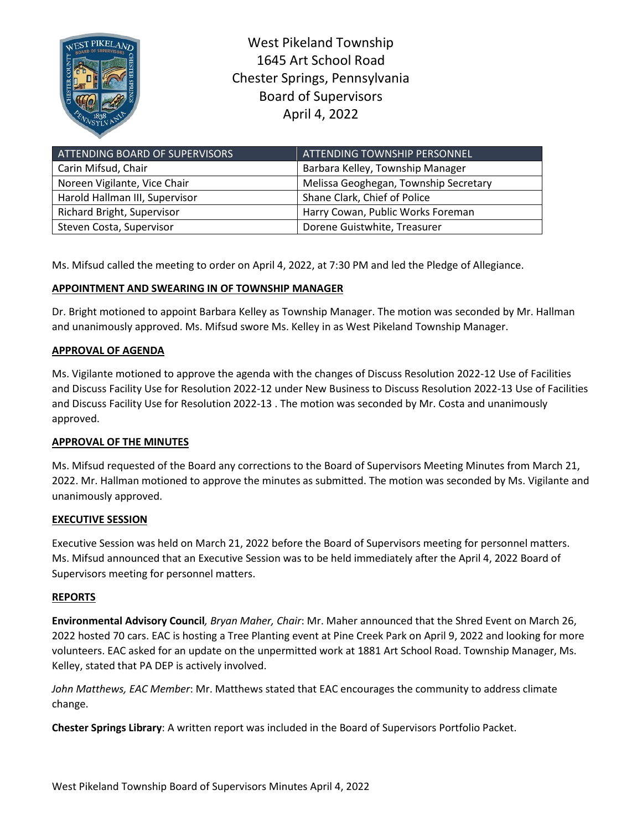

West Pikeland Township 1645 Art School Road Chester Springs, Pennsylvania Board of Supervisors April 4, 2022

| ATTENDING BOARD OF SUPERVISORS    | ATTENDING TOWNSHIP PERSONNEL          |
|-----------------------------------|---------------------------------------|
| Carin Mifsud, Chair               | Barbara Kelley, Township Manager      |
| Noreen Vigilante, Vice Chair      | Melissa Geoghegan, Township Secretary |
| Harold Hallman III, Supervisor    | Shane Clark, Chief of Police          |
| <b>Richard Bright, Supervisor</b> | Harry Cowan, Public Works Foreman     |
| Steven Costa, Supervisor          | Dorene Guistwhite, Treasurer          |

Ms. Mifsud called the meeting to order on April 4, 2022, at 7:30 PM and led the Pledge of Allegiance.

# **APPOINTMENT AND SWEARING IN OF TOWNSHIP MANAGER**

Dr. Bright motioned to appoint Barbara Kelley as Township Manager. The motion was seconded by Mr. Hallman and unanimously approved. Ms. Mifsud swore Ms. Kelley in as West Pikeland Township Manager.

## **APPROVAL OF AGENDA**

Ms. Vigilante motioned to approve the agenda with the changes of Discuss Resolution 2022-12 Use of Facilities and Discuss Facility Use for Resolution 2022-12 under New Business to Discuss Resolution 2022-13 Use of Facilities and Discuss Facility Use for Resolution 2022-13 . The motion was seconded by Mr. Costa and unanimously approved.

## **APPROVAL OF THE MINUTES**

Ms. Mifsud requested of the Board any corrections to the Board of Supervisors Meeting Minutes from March 21, 2022. Mr. Hallman motioned to approve the minutes as submitted. The motion was seconded by Ms. Vigilante and unanimously approved.

## **EXECUTIVE SESSION**

Executive Session was held on March 21, 2022 before the Board of Supervisors meeting for personnel matters. Ms. Mifsud announced that an Executive Session was to be held immediately after the April 4, 2022 Board of Supervisors meeting for personnel matters.

### **REPORTS**

**Environmental Advisory Council***, Bryan Maher, Chair*: Mr. Maher announced that the Shred Event on March 26, 2022 hosted 70 cars. EAC is hosting a Tree Planting event at Pine Creek Park on April 9, 2022 and looking for more volunteers. EAC asked for an update on the unpermitted work at 1881 Art School Road. Township Manager, Ms. Kelley, stated that PA DEP is actively involved.

*John Matthews, EAC Member*: Mr. Matthews stated that EAC encourages the community to address climate change.

**Chester Springs Library**: A written report was included in the Board of Supervisors Portfolio Packet.